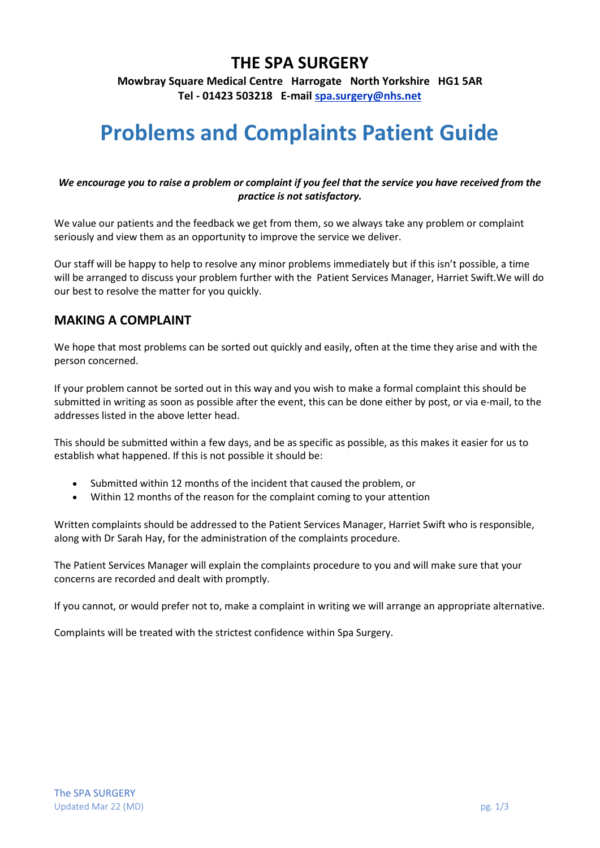## **THE SPA SURGERY**

**Mowbray Square Medical Centre Harrogate North Yorkshire HG1 5AR Tel - 01423 503218 E-mail [spa.surgery@nhs.net](mailto:spa.surgery@nhs.net)**

# **Problems and Complaints Patient Guide**

#### *We encourage you to raise a problem or complaint if you feel that the service you have received from the practice is not satisfactory.*

We value our patients and the feedback we get from them, so we always take any problem or complaint seriously and view them as an opportunity to improve the service we deliver.

Our staff will be happy to help to resolve any minor problems immediately but if this isn't possible, a time will be arranged to discuss your problem further with the Patient Services Manager, Harriet Swift.We will do our best to resolve the matter for you quickly.

### **MAKING A COMPLAINT**

We hope that most problems can be sorted out quickly and easily, often at the time they arise and with the person concerned.

If your problem cannot be sorted out in this way and you wish to make a formal complaint this should be submitted in writing as soon as possible after the event, this can be done either by post, or via e-mail, to the addresses listed in the above letter head.

This should be submitted within a few days, and be as specific as possible, as this makes it easier for us to establish what happened. If this is not possible it should be:

- Submitted within 12 months of the incident that caused the problem, or
- Within 12 months of the reason for the complaint coming to your attention

Written complaints should be addressed to the Patient Services Manager, Harriet Swift who is responsible, along with Dr Sarah Hay, for the administration of the complaints procedure.

The Patient Services Manager will explain the complaints procedure to you and will make sure that your concerns are recorded and dealt with promptly.

If you cannot, or would prefer not to, make a complaint in writing we will arrange an appropriate alternative.

Complaints will be treated with the strictest confidence within Spa Surgery.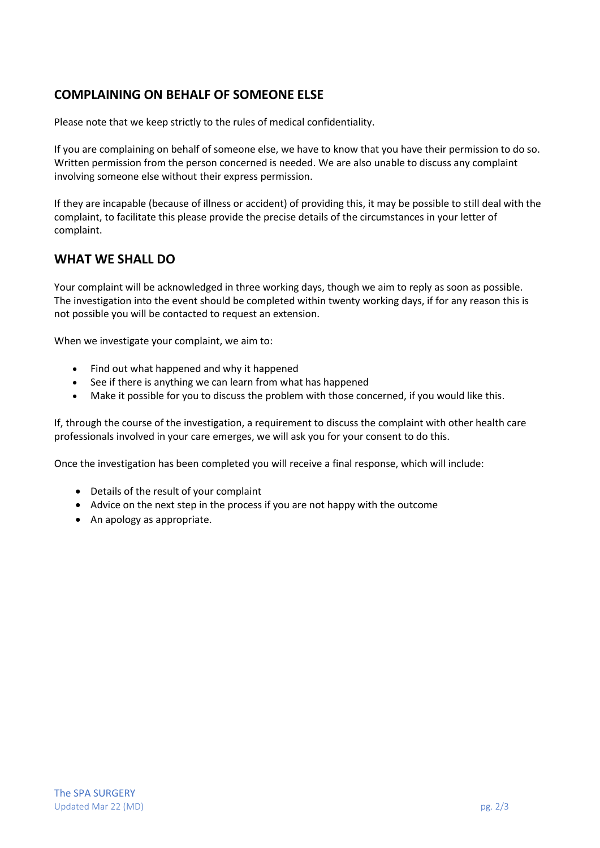## **COMPLAINING ON BEHALF OF SOMEONE ELSE**

Please note that we keep strictly to the rules of medical confidentiality.

If you are complaining on behalf of someone else, we have to know that you have their permission to do so. Written permission from the person concerned is needed. We are also unable to discuss any complaint involving someone else without their express permission.

If they are incapable (because of illness or accident) of providing this, it may be possible to still deal with the complaint, to facilitate this please provide the precise details of the circumstances in your letter of complaint.

## **WHAT WE SHALL DO**

Your complaint will be acknowledged in three working days, though we aim to reply as soon as possible. The investigation into the event should be completed within twenty working days, if for any reason this is not possible you will be contacted to request an extension.

When we investigate your complaint, we aim to:

- Find out what happened and why it happened
- See if there is anything we can learn from what has happened
- Make it possible for you to discuss the problem with those concerned, if you would like this.

If, through the course of the investigation, a requirement to discuss the complaint with other health care professionals involved in your care emerges, we will ask you for your consent to do this.

Once the investigation has been completed you will receive a final response, which will include:

- Details of the result of your complaint
- Advice on the next step in the process if you are not happy with the outcome
- An apology as appropriate.